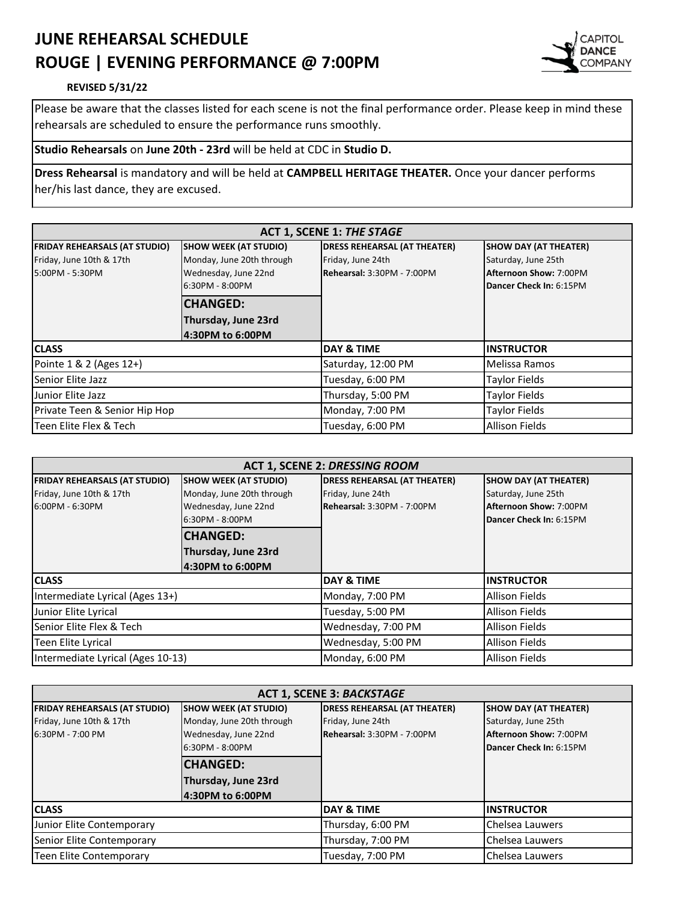## **JUNE REHEARSAL SCHEDULE ROUGE | EVENING PERFORMANCE @ 7:00PM**



## **REVISED 5/31/22**

Please be aware that the classes listed for each scene is not the final performance order. Please keep in mind these rehearsals are scheduled to ensure the performance runs smoothly.

## **Studio Rehearsals** on **June 20th - 23rd** will be held at CDC in **Studio D.**

**Dress Rehearsal** is mandatory and will be held at **CAMPBELL HERITAGE THEATER.** Once your dancer performs her/his last dance, they are excused.

| <b>ACT 1, SCENE 1: THE STAGE</b>     |                              |                                     |                              |
|--------------------------------------|------------------------------|-------------------------------------|------------------------------|
| <b>FRIDAY REHEARSALS (AT STUDIO)</b> | <b>SHOW WEEK (AT STUDIO)</b> | <b>DRESS REHEARSAL (AT THEATER)</b> | <b>SHOW DAY (AT THEATER)</b> |
| Friday, June 10th & 17th             | Monday, June 20th through    | Friday, June 24th                   | Saturday, June 25th          |
| 5:00PM - 5:30PM                      | Wednesday, June 22nd         | <b>Rehearsal: 3:30PM - 7:00PM</b>   | Afternoon Show: 7:00PM       |
|                                      | 6:30PM - 8:00PM              |                                     | Dancer Check In: 6:15PM      |
|                                      | <b>CHANGED:</b>              |                                     |                              |
|                                      | Thursday, June 23rd          |                                     |                              |
|                                      | 4:30PM to 6:00PM             |                                     |                              |
| <b>CLASS</b>                         |                              | <b>DAY &amp; TIME</b>               | <b>INSTRUCTOR</b>            |
| Pointe 1 & 2 (Ages 12+)              |                              | Saturday, 12:00 PM                  | Melissa Ramos                |
| Senior Elite Jazz                    |                              | Tuesday, 6:00 PM                    | <b>Taylor Fields</b>         |
| Junior Elite Jazz                    |                              | Thursday, 5:00 PM                   | <b>Taylor Fields</b>         |
| Private Teen & Senior Hip Hop        |                              | Monday, 7:00 PM                     | <b>Taylor Fields</b>         |
| Teen Elite Flex & Tech               |                              | Tuesday, 6:00 PM                    | <b>Allison Fields</b>        |

| <b>ACT 1, SCENE 2: DRESSING ROOM</b> |                              |                                     |                              |
|--------------------------------------|------------------------------|-------------------------------------|------------------------------|
| <b>FRIDAY REHEARSALS (AT STUDIO)</b> | <b>SHOW WEEK (AT STUDIO)</b> | <b>DRESS REHEARSAL (AT THEATER)</b> | <b>SHOW DAY (AT THEATER)</b> |
| Friday, June 10th & 17th             | Monday, June 20th through    | Friday, June 24th                   | Saturday, June 25th          |
| 6:00PM - 6:30PM                      | Wednesday, June 22nd         | Rehearsal: 3:30PM - 7:00PM          | Afternoon Show: 7:00PM       |
|                                      | 6:30PM - 8:00PM              |                                     | Dancer Check In: 6:15PM      |
|                                      | <b>CHANGED:</b>              |                                     |                              |
|                                      | Thursday, June 23rd          |                                     |                              |
|                                      | 4:30PM to 6:00PM             |                                     |                              |
| <b>CLASS</b>                         |                              | <b>DAY &amp; TIME</b>               | <b>INSTRUCTOR</b>            |
| Intermediate Lyrical (Ages 13+)      |                              | Monday, 7:00 PM                     | <b>Allison Fields</b>        |
| Junior Elite Lyrical                 |                              | Tuesday, 5:00 PM                    | <b>Allison Fields</b>        |
| Senior Elite Flex & Tech             |                              | Wednesday, 7:00 PM                  | <b>Allison Fields</b>        |
| Teen Elite Lyrical                   |                              | Wednesday, 5:00 PM                  | <b>Allison Fields</b>        |
| Intermediate Lyrical (Ages 10-13)    |                              | Monday, 6:00 PM                     | <b>Allison Fields</b>        |

| <b>ACT 1, SCENE 3: BACKSTAGE</b>     |                              |                                     |                              |
|--------------------------------------|------------------------------|-------------------------------------|------------------------------|
| <b>FRIDAY REHEARSALS (AT STUDIO)</b> | <b>SHOW WEEK (AT STUDIO)</b> | <b>DRESS REHEARSAL (AT THEATER)</b> | <b>SHOW DAY (AT THEATER)</b> |
| Friday, June 10th & 17th             | Monday, June 20th through    | Friday, June 24th                   | Saturday, June 25th          |
| 6:30PM - 7:00 PM                     | Wednesday, June 22nd         | Rehearsal: 3:30PM - 7:00PM          | Afternoon Show: 7:00PM       |
|                                      | 6:30PM - 8:00PM              |                                     | Dancer Check In: 6:15PM      |
|                                      | <b>CHANGED:</b>              |                                     |                              |
|                                      | Thursday, June 23rd          |                                     |                              |
|                                      | 4:30PM to 6:00PM             |                                     |                              |
| <b>CLASS</b>                         |                              | <b>DAY &amp; TIME</b>               | <b>INSTRUCTOR</b>            |
| Junior Elite Contemporary            |                              | Thursday, 6:00 PM                   | Chelsea Lauwers              |
| Senior Elite Contemporary            |                              | Thursday, 7:00 PM                   | Chelsea Lauwers              |
| Teen Elite Contemporary              |                              | Tuesday, 7:00 PM                    | Chelsea Lauwers              |